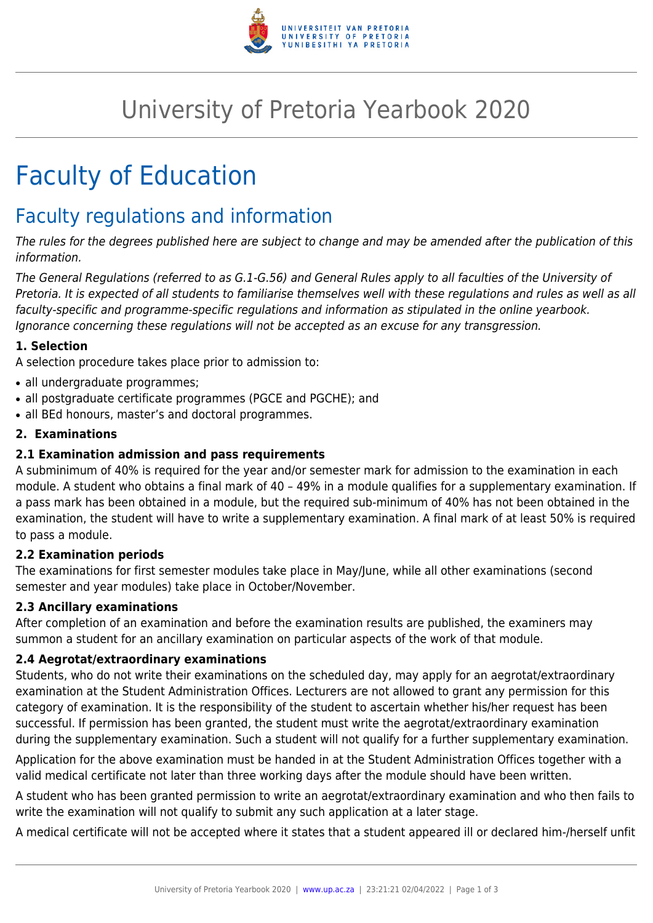

# University of Pretoria Yearbook 2020

# Faculty of Education

# Faculty regulations and information

The rules for the degrees published here are subject to change and may be amended after the publication of this information.

The General Regulations (referred to as G.1-G.56) and General Rules apply to all faculties of the University of Pretoria. It is expected of all students to familiarise themselves well with these regulations and rules as well as all faculty-specific and programme-specific regulations and information as stipulated in the online yearbook. Ignorance concerning these regulations will not be accepted as an excuse for any transgression.

# **1. Selection**

A selection procedure takes place prior to admission to:

- all undergraduate programmes;
- all postgraduate certificate programmes (PGCE and PGCHE); and
- all BEd honours, master's and doctoral programmes.

# **2. Examinations**

# **2.1 Examination admission and pass requirements**

A subminimum of 40% is required for the year and/or semester mark for admission to the examination in each module. A student who obtains a final mark of 40 – 49% in a module qualifies for a supplementary examination. If a pass mark has been obtained in a module, but the required sub-minimum of 40% has not been obtained in the examination, the student will have to write a supplementary examination. A final mark of at least 50% is required to pass a module.

# **2.2 Examination periods**

The examinations for first semester modules take place in May/June, while all other examinations (second semester and year modules) take place in October/November.

# **2.3 Ancillary examinations**

After completion of an examination and before the examination results are published, the examiners may summon a student for an ancillary examination on particular aspects of the work of that module.

# **2.4 Aegrotat/extraordinary examinations**

Students, who do not write their examinations on the scheduled day, may apply for an aegrotat/extraordinary examination at the Student Administration Offices. Lecturers are not allowed to grant any permission for this category of examination. It is the responsibility of the student to ascertain whether his/her request has been successful. If permission has been granted, the student must write the aegrotat/extraordinary examination during the supplementary examination. Such a student will not qualify for a further supplementary examination.

Application for the above examination must be handed in at the Student Administration Offices together with a valid medical certificate not later than three working days after the module should have been written.

A student who has been granted permission to write an aegrotat/extraordinary examination and who then fails to write the examination will not qualify to submit any such application at a later stage.

A medical certificate will not be accepted where it states that a student appeared ill or declared him-/herself unfit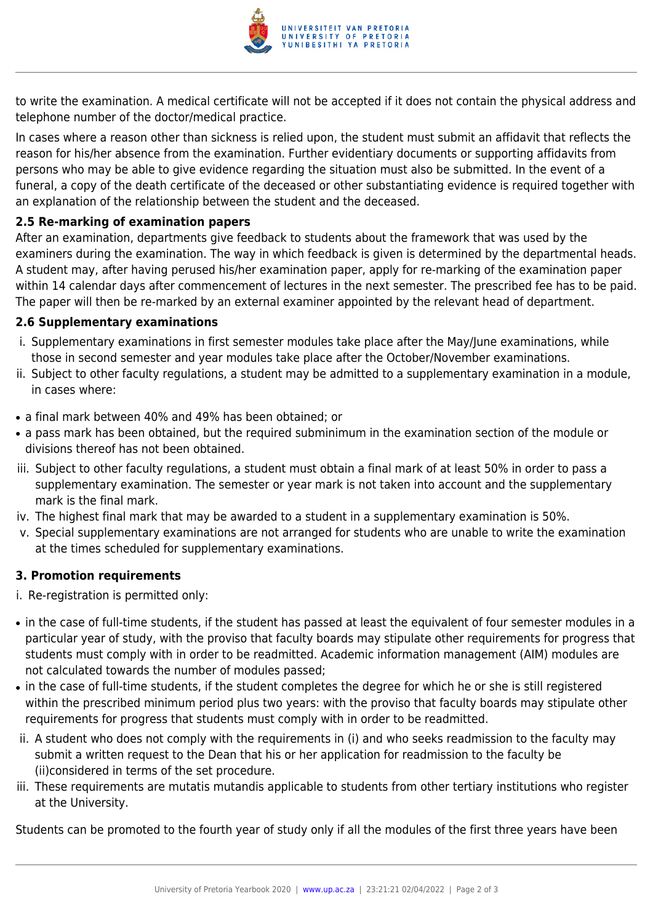

to write the examination. A medical certificate will not be accepted if it does not contain the physical address and telephone number of the doctor/medical practice.

In cases where a reason other than sickness is relied upon, the student must submit an affidavit that reflects the reason for his/her absence from the examination. Further evidentiary documents or supporting affidavits from persons who may be able to give evidence regarding the situation must also be submitted. In the event of a funeral, a copy of the death certificate of the deceased or other substantiating evidence is required together with an explanation of the relationship between the student and the deceased.

# **2.5 Re-marking of examination papers**

After an examination, departments give feedback to students about the framework that was used by the examiners during the examination. The way in which feedback is given is determined by the departmental heads. A student may, after having perused his/her examination paper, apply for re-marking of the examination paper within 14 calendar days after commencement of lectures in the next semester. The prescribed fee has to be paid. The paper will then be re-marked by an external examiner appointed by the relevant head of department.

# **2.6 Supplementary examinations**

- i. Supplementary examinations in first semester modules take place after the May/June examinations, while those in second semester and year modules take place after the October/November examinations.
- ii. Subject to other faculty regulations, a student may be admitted to a supplementary examination in a module, in cases where:
- a final mark between 40% and 49% has been obtained; or
- a pass mark has been obtained, but the required subminimum in the examination section of the module or divisions thereof has not been obtained.
- iii. Subject to other faculty regulations, a student must obtain a final mark of at least 50% in order to pass a supplementary examination. The semester or year mark is not taken into account and the supplementary mark is the final mark.
- iv. The highest final mark that may be awarded to a student in a supplementary examination is 50%.
- v. Special supplementary examinations are not arranged for students who are unable to write the examination at the times scheduled for supplementary examinations.

# **3. Promotion requirements**

- i. Re-registration is permitted only:
- in the case of full-time students, if the student has passed at least the equivalent of four semester modules in a particular year of study, with the proviso that faculty boards may stipulate other requirements for progress that students must comply with in order to be readmitted. Academic information management (AIM) modules are not calculated towards the number of modules passed;
- in the case of full-time students, if the student completes the degree for which he or she is still registered within the prescribed minimum period plus two years: with the proviso that faculty boards may stipulate other requirements for progress that students must comply with in order to be readmitted.
- ii. A student who does not comply with the requirements in (i) and who seeks readmission to the faculty may submit a written request to the Dean that his or her application for readmission to the faculty be (ii)considered in terms of the set procedure.
- iii. These requirements are mutatis mutandis applicable to students from other tertiary institutions who register at the University.

Students can be promoted to the fourth year of study only if all the modules of the first three years have been